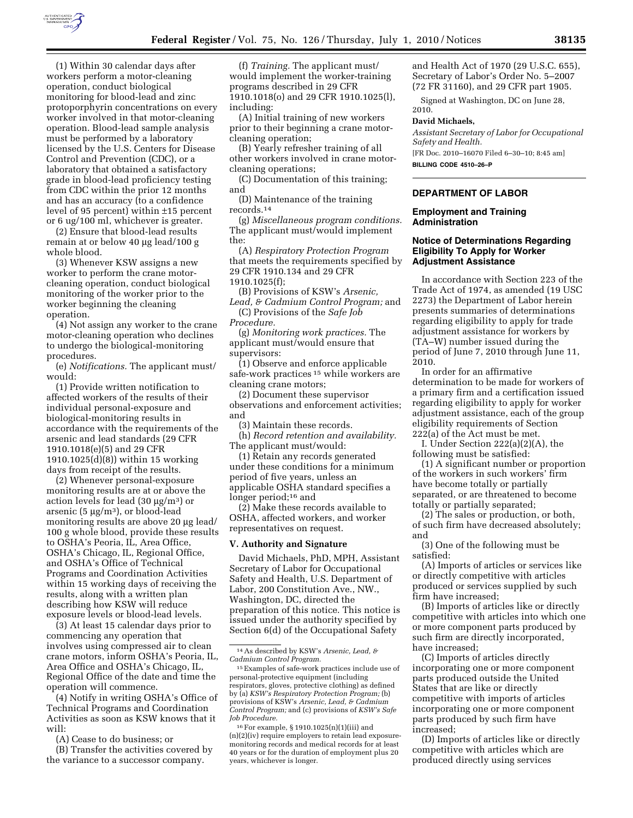

(1) Within 30 calendar days after workers perform a motor-cleaning operation, conduct biological monitoring for blood-lead and zinc protoporphyrin concentrations on every worker involved in that motor-cleaning operation. Blood-lead sample analysis must be performed by a laboratory licensed by the U.S. Centers for Disease Control and Prevention (CDC), or a laboratory that obtained a satisfactory grade in blood-lead proficiency testing from CDC within the prior 12 months and has an accuracy (to a confidence level of 95 percent) within ±15 percent or 6 ug/100 ml, whichever is greater.

(2) Ensure that blood-lead results remain at or below 40 μg lead/100 g whole blood.

(3) Whenever KSW assigns a new worker to perform the crane motorcleaning operation, conduct biological monitoring of the worker prior to the worker beginning the cleaning operation.

(4) Not assign any worker to the crane motor-cleaning operation who declines to undergo the biological-monitoring procedures.

(e) *Notifications.* The applicant must/ would:

(1) Provide written notification to affected workers of the results of their individual personal-exposure and biological-monitoring results in accordance with the requirements of the arsenic and lead standards (29 CFR 1910.1018(e)(5) and 29 CFR 1910.1025(d)(8)) within 15 working days from receipt of the results.

(2) Whenever personal-exposure monitoring results are at or above the action levels for lead  $(30 \mu g/m^3)$  or arsenic (5  $\mu$ g/m<sup>3</sup>), or blood-lead monitoring results are above 20 μg lead/ 100 g whole blood, provide these results to OSHA's Peoria, IL, Area Office, OSHA's Chicago, IL, Regional Office, and OSHA's Office of Technical Programs and Coordination Activities within 15 working days of receiving the results, along with a written plan describing how KSW will reduce exposure levels or blood-lead levels.

(3) At least 15 calendar days prior to commencing any operation that involves using compressed air to clean crane motors, inform OSHA's Peoria, IL, Area Office and OSHA's Chicago, IL, Regional Office of the date and time the operation will commence.

(4) Notify in writing OSHA's Office of Technical Programs and Coordination Activities as soon as KSW knows that it will:

(A) Cease to do business; or

(B) Transfer the activities covered by the variance to a successor company.

(f) *Training.* The applicant must/ would implement the worker-training programs described in 29 CFR 1910.1018(o) and 29 CFR 1910.1025(l), including:

(A) Initial training of new workers prior to their beginning a crane motorcleaning operation;

(B) Yearly refresher training of all other workers involved in crane motorcleaning operations;

(C) Documentation of this training; and

(D) Maintenance of the training records.14

(g) *Miscellaneous program conditions.*  The applicant must/would implement the:

(A) *Respiratory Protection Program*  that meets the requirements specified by 29 CFR 1910.134 and 29 CFR 1910.1025(f);

(B) Provisions of KSW's *Arsenic, Lead, & Cadmium Control Program;* and

(C) Provisions of the *Safe Job Procedure.* 

(g) *Monitoring work practices.* The applicant must/would ensure that supervisors:

(1) Observe and enforce applicable safe-work practices 15 while workers are cleaning crane motors;

(2) Document these supervisor observations and enforcement activities; and

(3) Maintain these records.

(h) *Record retention and availability.*  The applicant must/would:

(1) Retain any records generated under these conditions for a minimum period of five years, unless an applicable OSHA standard specifies a longer period;<sup>16</sup> and

(2) Make these records available to OSHA, affected workers, and worker representatives on request.

#### **V. Authority and Signature**

David Michaels, PhD, MPH, Assistant Secretary of Labor for Occupational Safety and Health, U.S. Department of Labor, 200 Constitution Ave., NW., Washington, DC, directed the preparation of this notice. This notice is issued under the authority specified by Section 6(d) of the Occupational Safety

14As described by KSW's *Arsenic, Lead, & Cadmium Control Program.* 

16For example, § 1910.1025(n)(1)(iii) and (n)(2)(iv) require employers to retain lead exposuremonitoring records and medical records for at least 40 years or for the duration of employment plus 20 years, whichever is longer.

and Health Act of 1970 (29 U.S.C. 655), Secretary of Labor's Order No. 5–2007 (72 FR 31160), and 29 CFR part 1905.

Signed at Washington, DC on June 28, 2010.

#### **David Michaels,**

*Assistant Secretary of Labor for Occupational Safety and Health.* 

[FR Doc. 2010–16070 Filed 6–30–10; 8:45 am] **BILLING CODE 4510–26–P** 

# **DEPARTMENT OF LABOR**

### **Employment and Training Administration**

## **Notice of Determinations Regarding Eligibility To Apply for Worker Adjustment Assistance**

In accordance with Section 223 of the Trade Act of 1974, as amended (19 USC 2273) the Department of Labor herein presents summaries of determinations regarding eligibility to apply for trade adjustment assistance for workers by (TA–W) number issued during the period of June 7, 2010 through June 11, 2010.

In order for an affirmative determination to be made for workers of a primary firm and a certification issued regarding eligibility to apply for worker adjustment assistance, each of the group eligibility requirements of Section 222(a) of the Act must be met.

I. Under Section 222(a)(2)(A), the following must be satisfied:

(1) A significant number or proportion of the workers in such workers' firm have become totally or partially separated, or are threatened to become totally or partially separated;

(2) The sales or production, or both, of such firm have decreased absolutely; and

(3) One of the following must be satisfied:

(A) Imports of articles or services like or directly competitive with articles produced or services supplied by such firm have increased;

(B) Imports of articles like or directly competitive with articles into which one or more component parts produced by such firm are directly incorporated, have increased;

(C) Imports of articles directly incorporating one or more component parts produced outside the United States that are like or directly competitive with imports of articles incorporating one or more component parts produced by such firm have increased;

(D) Imports of articles like or directly competitive with articles which are produced directly using services

<sup>15</sup>Examples of safe-work practices include use of personal-protective equipment (including respirators, gloves, protective clothing) as defined by (a) *KSW's Respiratory Protection Program;* (b) provisions of KSW's *Arsenic, Lead, & Cadmium Control Program;* and (c) provisions of *KSW's Safe Job Procedure.*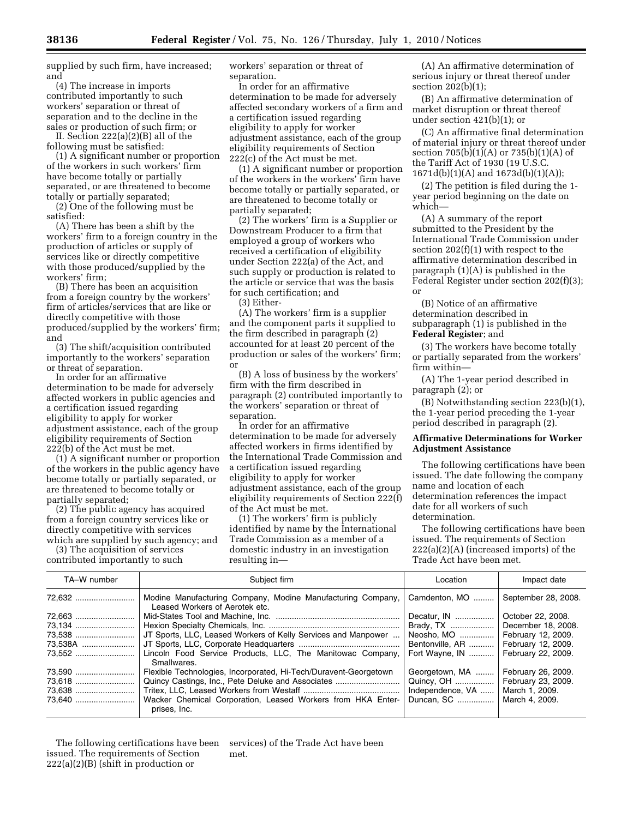supplied by such firm, have increased; and

(4) The increase in imports contributed importantly to such workers' separation or threat of separation and to the decline in the sales or production of such firm; or

II. Section 222(a)(2)(B) all of the following must be satisfied:

(1) A significant number or proportion of the workers in such workers' firm have become totally or partially separated, or are threatened to become totally or partially separated;

(2) One of the following must be satisfied:

(A) There has been a shift by the workers' firm to a foreign country in the production of articles or supply of services like or directly competitive with those produced/supplied by the workers' firm;

(B) There has been an acquisition from a foreign country by the workers' firm of articles/services that are like or directly competitive with those produced/supplied by the workers' firm; and

(3) The shift/acquisition contributed importantly to the workers' separation or threat of separation.

In order for an affirmative determination to be made for adversely affected workers in public agencies and a certification issued regarding eligibility to apply for worker adjustment assistance, each of the group eligibility requirements of Section 222(b) of the Act must be met.

(1) A significant number or proportion of the workers in the public agency have become totally or partially separated, or are threatened to become totally or partially separated;

(2) The public agency has acquired from a foreign country services like or directly competitive with services which are supplied by such agency; and

(3) The acquisition of services contributed importantly to such

workers' separation or threat of separation.

In order for an affirmative determination to be made for adversely affected secondary workers of a firm and a certification issued regarding eligibility to apply for worker adjustment assistance, each of the group eligibility requirements of Section 222(c) of the Act must be met.

(1) A significant number or proportion of the workers in the workers' firm have become totally or partially separated, or are threatened to become totally or partially separated;

(2) The workers' firm is a Supplier or Downstream Producer to a firm that employed a group of workers who received a certification of eligibility under Section 222(a) of the Act, and such supply or production is related to the article or service that was the basis for such certification; and

(3) Either-

(A) The workers' firm is a supplier and the component parts it supplied to the firm described in paragraph (2) accounted for at least 20 percent of the production or sales of the workers' firm; or

(B) A loss of business by the workers' firm with the firm described in paragraph (2) contributed importantly to the workers' separation or threat of separation.

In order for an affirmative determination to be made for adversely affected workers in firms identified by the International Trade Commission and a certification issued regarding eligibility to apply for worker adjustment assistance, each of the group eligibility requirements of Section 222(f) of the Act must be met.

(1) The workers' firm is publicly identified by name by the International Trade Commission as a member of a domestic industry in an investigation resulting in—

(A) An affirmative determination of serious injury or threat thereof under section 202(b)(1);

(B) An affirmative determination of market disruption or threat thereof under section 421(b)(1); or

(C) An affirmative final determination of material injury or threat thereof under section 705(b)(1)(A) or 735(b)(1)(A) of the Tariff Act of 1930 (19 U.S.C. 1671d(b)(1)(A) and 1673d(b)(1)(A));

(2) The petition is filed during the 1 year period beginning on the date on which—

(A) A summary of the report submitted to the President by the International Trade Commission under section 202(f)(1) with respect to the affirmative determination described in paragraph (1)(A) is published in the Federal Register under section 202(f)(3); or

(B) Notice of an affirmative determination described in subparagraph (1) is published in the **Federal Register**; and

(3) The workers have become totally or partially separated from the workers' firm within—

(A) The 1-year period described in paragraph (2); or

(B) Notwithstanding section 223(b)(1), the 1-year period preceding the 1-year period described in paragraph (2).

## **Affirmative Determinations for Worker Adjustment Assistance**

The following certifications have been issued. The date following the company name and location of each determination references the impact date for all workers of such determination.

The following certifications have been issued. The requirements of Section 222(a)(2)(A) (increased imports) of the Trade Act have been met.

| TA-W number | Subject firm                                                                                  | Location           | Impact date         |
|-------------|-----------------------------------------------------------------------------------------------|--------------------|---------------------|
| 72.632      | Modine Manufacturing Company, Modine Manufacturing Company,<br>Leased Workers of Aerotek etc. | Camdenton, MO      | September 28, 2008. |
| 72.663      |                                                                                               | Decatur, IN        | October 22, 2008.   |
| 73,134      |                                                                                               |                    | December 18, 2008.  |
| 73,538      | JT Sports, LLC, Leased Workers of Kelly Services and Manpower                                 | Neosho, MO         | February 12, 2009.  |
| 73.538A     |                                                                                               | Bentonville, AR    | February 12, 2009.  |
| 73.552      | Lincoln Food Service Products, LLC, The Manitowac Company,<br>Smallwares.                     | Fort Wayne, IN     | February 22, 2009.  |
| 73,590      | Flexible Technologies, Incorporated, Hi-Tech/Duravent-Georgetown                              | Georgetown, MA     | February 26, 2009.  |
| 73,618      | Quincy Castings, Inc., Pete Deluke and Associates                                             | Quincy, OH         | February 23, 2009.  |
| 73.638      |                                                                                               | Independence, $VA$ | March 1, 2009.      |
|             | Wacker Chemical Corporation, Leased Workers from HKA Enter-<br>prises, Inc.                   | Duncan, SC         | March 4, 2009.      |

The following certifications have been issued. The requirements of Section 222(a)(2)(B) (shift in production or

services) of the Trade Act have been met.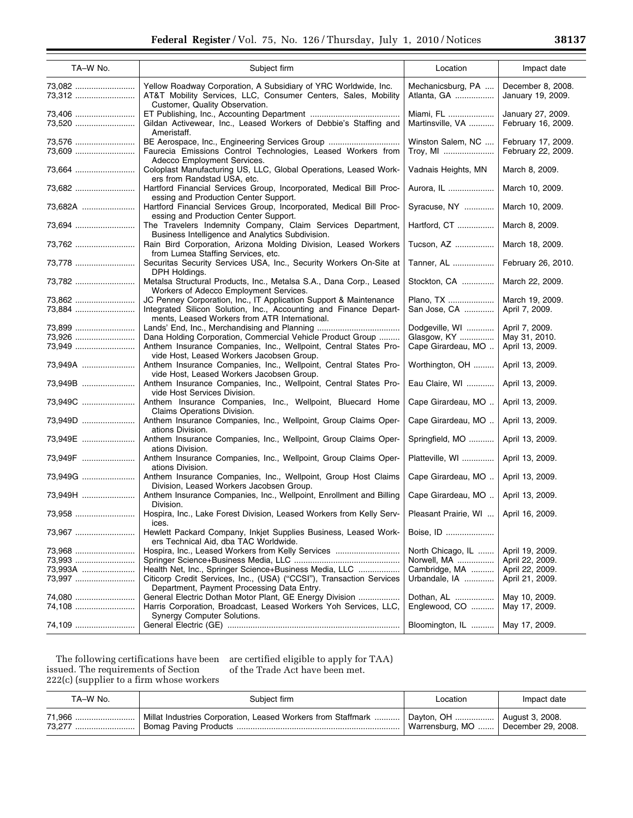| TA-W No.          | Subject firm                                                                                                                                                                            | Location                                             | Impact date                              |
|-------------------|-----------------------------------------------------------------------------------------------------------------------------------------------------------------------------------------|------------------------------------------------------|------------------------------------------|
| 73,082<br>73,312  | Yellow Roadway Corporation, A Subsidiary of YRC Worldwide, Inc.<br>AT&T Mobility Services, LLC, Consumer Centers, Sales, Mobility<br>Customer, Quality Observation.                     | Mechanicsburg, PA<br>Atlanta, GA                     | December 8, 2008.<br>January 19, 2009.   |
| 73,406<br>73,520  | Gildan Activewear, Inc., Leased Workers of Debbie's Staffing and                                                                                                                        | Miami, FL<br>Martinsville, VA                        | January 27, 2009.<br>February 16, 2009.  |
| 73,576<br>73,609  | Ameristaff.<br>BE Aerospace, Inc., Engineering Services Group<br>Faurecia Emissions Control Technologies, Leased Workers from                                                           | Winston Salem, NC<br>Troy, MI                        | February 17, 2009.<br>February 22, 2009. |
| 73.664            | Adecco Employment Services.<br>Coloplast Manufacturing US, LLC, Global Operations, Leased Work-                                                                                         | Vadnais Heights, MN                                  | March 8, 2009.                           |
| 73,682            | ers from Randstad USA, etc.<br>Hartford Financial Services Group, Incorporated, Medical Bill Proc-<br>essing and Production Center Support.                                             | Aurora, IL                                           | March 10, 2009.                          |
| 73,682A           | Hartford Financial Services Group, Incorporated, Medical Bill Proc-<br>essing and Production Center Support.                                                                            | Syracuse, NY                                         | March 10, 2009.                          |
| 73,694            | The Travelers Indemnity Company, Claim Services Department,<br>Business Intelligence and Analytics Subdivision.                                                                         | Hartford, CT                                         | March 8, 2009.                           |
| 73,762            | Rain Bird Corporation, Arizona Molding Division, Leased Workers<br>from Lumea Staffing Services, etc.                                                                                   | Tucson, AZ                                           | March 18, 2009.                          |
| 73.778            | Securitas Security Services USA, Inc., Security Workers On-Site at<br>DPH Holdings.                                                                                                     | Tanner, AL                                           | February 26, 2010.                       |
| 73,782            | Metalsa Structural Products, Inc., Metalsa S.A., Dana Corp., Leased<br>Workers of Adecco Employment Services.                                                                           | Stockton, CA                                         | March 22, 2009.                          |
| 73,862<br>73,884  | JC Penney Corporation, Inc., IT Application Support & Maintenance<br>Integrated Silicon Solution, Inc., Accounting and Finance Depart-<br>ments, Leased Workers from ATR International. | Plano, TX<br>San Jose, CA                            | March 19, 2009.<br>April 7, 2009.        |
| 73,899<br>73,926  | Dana Holding Corporation, Commercial Vehicle Product Group                                                                                                                              | Dodgeville, WI<br>Glasgow, KY                        | April 7, 2009.<br>May 31, 2010.          |
| 73,949<br>73,949A | Anthem Insurance Companies, Inc., Wellpoint, Central States Pro-<br>vide Host, Leased Workers Jacobsen Group.<br>Anthem Insurance Companies, Inc., Wellpoint, Central States Pro-       | Cape Girardeau, MO<br>Worthington, OH                | April 13, 2009.<br>April 13, 2009.       |
| 73,949B           | vide Host, Leased Workers Jacobsen Group.<br>Anthem Insurance Companies, Inc., Wellpoint, Central States Pro-                                                                           | Eau Claire, WI                                       | April 13, 2009.                          |
| 73,949C           | vide Host Services Division.<br>Anthem Insurance Companies, Inc., Wellpoint, Bluecard Home<br>Claims Operations Division.                                                               | Cape Girardeau, MO                                   | April 13, 2009.                          |
| 73,949D           | Anthem Insurance Companies, Inc., Wellpoint, Group Claims Oper-<br>ations Division.                                                                                                     | Cape Girardeau, MO                                   | April 13, 2009.                          |
| 73,949E           | Anthem Insurance Companies, Inc., Wellpoint, Group Claims Oper-<br>ations Division.                                                                                                     | Springfield, MO                                      | April 13, 2009.                          |
| 73,949F           | Anthem Insurance Companies, Inc., Wellpoint, Group Claims Oper-<br>ations Division.                                                                                                     | Platteville, WI                                      | April 13, 2009.                          |
| 73,949G           | Anthem Insurance Companies, Inc., Wellpoint, Group Host Claims<br>Division, Leased Workers Jacobsen Group.                                                                              | Cape Girardeau, MO                                   | April 13, 2009.                          |
| 73,949H           | Anthem Insurance Companies, Inc., Wellpoint, Enrollment and Billing<br>Division.                                                                                                        | Cape Girardeau, MO                                   | April 13, 2009.                          |
| 73,958<br>73,967  | Hospira, Inc., Lake Forest Division, Leased Workers from Kelly Serv-<br>ices.<br>Hewlett Packard Company, Inkjet Supplies Business, Leased Work-                                        | Pleasant Prairie, WI    April 16, 2009.<br>Boise. ID |                                          |
| 73.968            | ers Technical Aid, dba TAC Worldwide.<br>Hospira, Inc., Leased Workers from Kelly Services                                                                                              | North Chicago, IL                                    | April 19, 2009.                          |
| 73.993            |                                                                                                                                                                                         | Norwell, MA                                          | April 22, 2009.                          |
| 73,993A           | Health Net, Inc., Springer Science+Business Media, LLC                                                                                                                                  | Cambridge, MA                                        | April 22, 2009.                          |
| 73,997            | Citicorp Credit Services, Inc., (USA) ("CCSI"), Transaction Services                                                                                                                    | Urbandale, IA                                        | April 21, 2009.                          |
|                   | Department, Payment Processing Data Entry.                                                                                                                                              |                                                      |                                          |
| 74,080            | General Electric Dothan Motor Plant, GE Energy Division                                                                                                                                 | Dothan, AL                                           | May 10, 2009.                            |
| 74.108            | Harris Corporation, Broadcast, Leased Workers Yoh Services, LLC,<br><b>Synergy Computer Solutions.</b>                                                                                  | Englewood, CO                                        | May 17, 2009.                            |
| 74,109            |                                                                                                                                                                                         | Bloomington, IL                                      | May 17, 2009.                            |

The following certifications have been issued. The requirements of Section 222(c) (supplier to a firm whose workers

are certified eligible to apply for TAA) of the Trade Act have been met.

| TA-W No.         | Subiect firm                                                                                  | Location                              | Impact date |
|------------------|-----------------------------------------------------------------------------------------------|---------------------------------------|-------------|
| 71.966<br>73.277 | Millat Industries Corporation, Leased Workers from Staffmark    Dayton, OH    August 3, 2008. | Warrensburg, MO    December 29, 2008. |             |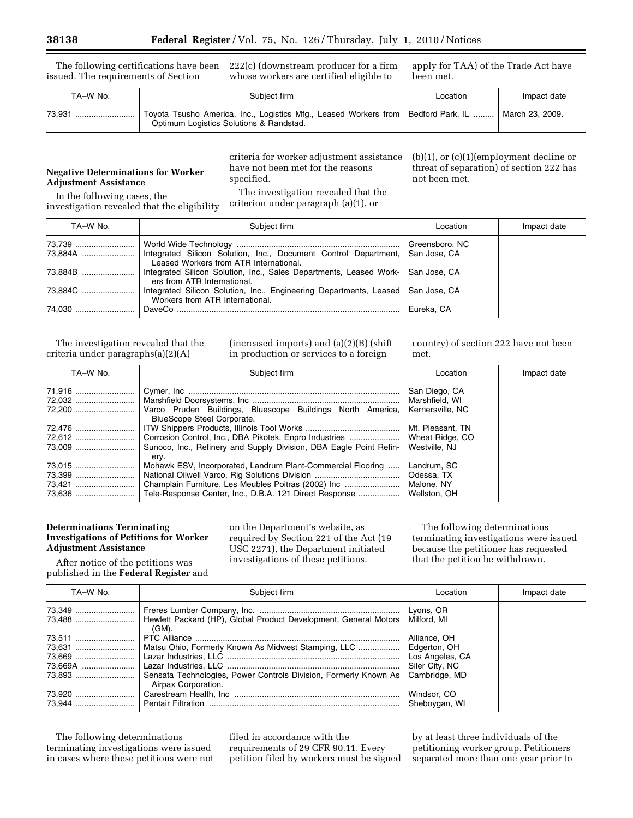The following certifications have been issued. The requirements of Section

222(c) (downstream producer for a firm whose workers are certified eligible to

apply for TAA) of the Trade Act have been met.

| TA-W No. | Subject firm                                                                                                                                      |  | Impact date |
|----------|---------------------------------------------------------------------------------------------------------------------------------------------------|--|-------------|
|          | Toyota Tsusho America, Inc., Logistics Mfg., Leased Workers from   Bedford Park, IL    March 23, 2009.<br>Optimum Logistics Solutions & Randstad. |  |             |

## **Negative Determinations for Worker Adjustment Assistance**

In the following cases, the investigation revealed that the eligibility criteria for worker adjustment assistance have not been met for the reasons specified.

The investigation revealed that the criterion under paragraph (a)(1), or

(b)(1), or (c)(1)(employment decline or threat of separation) of section 222 has not been met.

| TA-W No. | Subiect firm                                                                                                        | Location       | Impact date |
|----------|---------------------------------------------------------------------------------------------------------------------|----------------|-------------|
|          |                                                                                                                     | Greensboro, NC |             |
|          | 73,884A   Integrated Silicon Solution, Inc., Document Control Department,<br>Leased Workers from ATR International. | San Jose, CA   |             |
| 73,884B  | Integrated Silicon Solution, Inc., Sales Departments, Leased Work-   San Jose, CA<br>ers from ATR International.    |                |             |
| 73,884C  | Integrated Silicon Solution, Inc., Engineering Departments, Leased San Jose, CA<br>Workers from ATR International.  |                |             |
| 74.030   |                                                                                                                     | Eureka, CA     |             |

The investigation revealed that the criteria under paragraphs(a)(2)(A)

(increased imports) and (a)(2)(B) (shift in production or services to a foreign

country) of section 222 have not been met.

| TA-W No.           | Subject firm                                                                                                                                                                 | Location                                                | Impact date |
|--------------------|------------------------------------------------------------------------------------------------------------------------------------------------------------------------------|---------------------------------------------------------|-------------|
| 71,916 !           | Varco Pruden Buildings, Bluescope Buildings North America,<br>BlueScope Steel Corporate.                                                                                     | San Diego, CA<br>Marshfield, WI<br>Kernersville, NC     |             |
| 72,476<br>72,612 ! | Corrosion Control, Inc., DBA Pikotek, Enpro Industries    Wheat Ridge, CO<br>Sunoco, Inc., Refinery and Supply Division, DBA Eagle Point Refin-<br>ery.                      | Mt. Pleasant, TN<br>Westville, NJ                       |             |
| 73,015<br>73,399   | Mohawk ESV, Incorporated, Landrum Plant-Commercial Flooring<br>Champlain Furniture, Les Meubles Poitras (2002) Inc<br>Tele-Response Center, Inc., D.B.A. 121 Direct Response | Landrum, SC<br>Odessa, TX<br>Malone, NY<br>Wellston, OH |             |

### **Determinations Terminating Investigations of Petitions for Worker Adjustment Assistance**

on the Department's website, as required by Section 221 of the Act (19 USC 2271), the Department initiated investigations of these petitions.

The following determinations terminating investigations were issued because the petitioner has requested that the petition be withdrawn.

After notice of the petitions was published in the **Federal Register** and

| TA-W No. | Subject firm                                                                            | Location        | Impact date |
|----------|-----------------------------------------------------------------------------------------|-----------------|-------------|
| 73,349 ! |                                                                                         |                 |             |
|          | Hewlett Packard (HP), Global Product Development, General Motors<br>(GM).               | Milford, MI     |             |
|          |                                                                                         | Alliance, OH    |             |
|          |                                                                                         | Edgerton, OH    |             |
|          |                                                                                         | Los Angeles, CA |             |
|          |                                                                                         | Siler City, NC  |             |
|          | Sensata Technologies, Power Controls Division, Formerly Known As<br>Airpax Corporation. | Cambridge, MD   |             |
|          |                                                                                         | Windsor, CO     |             |
|          |                                                                                         | Sheboygan, WI   |             |

The following determinations terminating investigations were issued in cases where these petitions were not

filed in accordance with the requirements of 29 CFR 90.11. Every petition filed by workers must be signed by at least three individuals of the petitioning worker group. Petitioners separated more than one year prior to